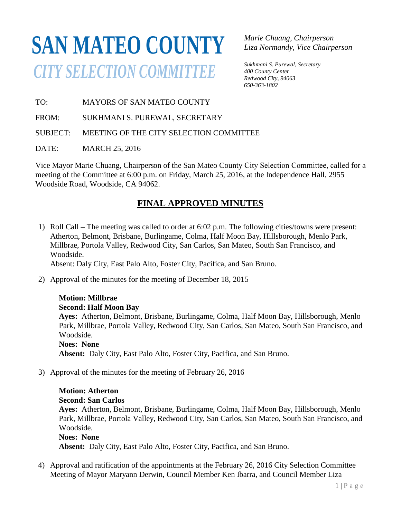# **SAN MATEO COUNTY***CITY SELECTION COMMITTEE*

*Marie Chuang, Chairperson Liza Normandy, Vice Chairperson* 

*Sukhmani S. Purewal, Secretary 400 County Center Redwood City, 94063 650-363-1802*

TO: MAYORS OF SAN MATEO COUNTY

FROM: SUKHMANI S. PUREWAL, SECRETARY

SUBJECT: MEETING OF THE CITY SELECTION COMMITTEE

DATE: MARCH 25, 2016

Vice Mayor Marie Chuang, Chairpers on of the San Mateo County City Selection Committee, called for a  $\frac{0}{1}$ meeting of the Committee at 6:00 p.m. on Friday, March 25, 2016, at the Independence Hall, 2955 Woodside Road, Woodside, CA 94062.

### **FINAL APPROVED MINUTES**

1) Roll Call – The meeting was called to order at 6:02 p.m. The following cities/towns were present: Atherton, Belmont, Brisbane, Burlingame, Colma, Half Moon Bay, Hillsborough, Menlo Park, Millbrae, Portola Valley, Redwood City, San Carlos, San Mateo, South San Francisco, and Woodside.

Absent: Daly City, East Palo Alto, Foster City, Pacifica, and San Bruno.

2) Approval of the minutes for the meeting of December 18, 2015

#### **Motion: Millbrae**

#### **Second: Half Moon Bay**

**Ayes:** Atherton, Belmont, Brisbane, Burlingame, Colma, Half Moon Bay, Hillsborough, Menlo Park, Millbrae, Portola Valley, Redwood City, San Carlos, San Mateo, South San Francisco, and Woodside.

#### **Noes: None**

**Absent:** Daly City, East Palo Alto, Foster City, Pacifica, and San Bruno.

3) Approval of the minutes for the meeting of February 26, 2016

## **Motion: Atherton**

**Second: San Carlos**

**Ayes:** Atherton, Belmont, Brisbane, Burlingame, Colma, Half Moon Bay, Hillsborough, Menlo Park, Millbrae, Portola Valley, Redwood City, San Carlos, San Mateo, South San Francisco, and Woodside.

#### **Noes: None**

**Absent:** Daly City, East Palo Alto, Foster City, Pacifica, and San Bruno.

4) Approval and ratification of the appointments at the February 26, 2016 City Selection Committee Meeting of Mayor Maryann Derwin, Council Member Ken Ibarra, and Council Member Liza